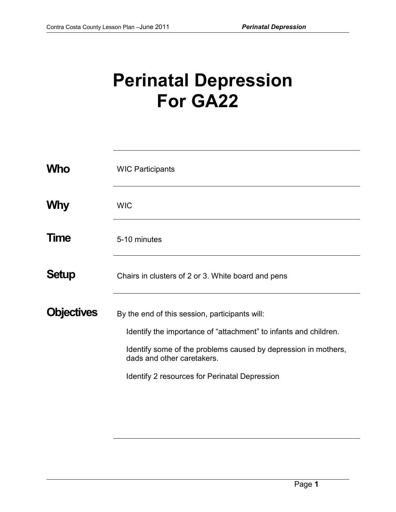## **Perinatal Depression For GA22**

| <b>Who</b>        | <b>WIC Participants</b>                                                                                                                                                                                                                                                    |
|-------------------|----------------------------------------------------------------------------------------------------------------------------------------------------------------------------------------------------------------------------------------------------------------------------|
| <b>Why</b>        | <b>WIC</b>                                                                                                                                                                                                                                                                 |
| Time              | 5-10 minutes                                                                                                                                                                                                                                                               |
| <b>Setup</b>      | Chairs in clusters of 2 or 3. White board and pens                                                                                                                                                                                                                         |
| <b>Objectives</b> | By the end of this session, participants will:<br>Identify the importance of "attachment" to infants and children.<br>Identify some of the problems caused by depression in mothers,<br>dads and other caretakers.<br><b>Identify 2 resources for Perinatal Depression</b> |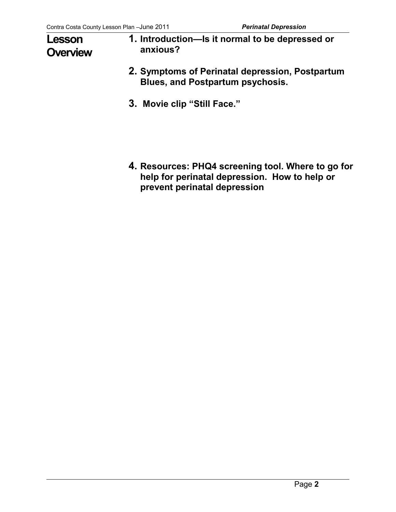## **Lesson Overview**

- **1. Introduction—Is it normal to be depressed or anxious?**
- **2. Symptoms of Perinatal depression, Postpartum Blues, and Postpartum psychosis.**
- **3. Movie clip "Still Face."**

**4. Resources: PHQ4 screening tool. Where to go for help for perinatal depression. How to help or prevent perinatal depression**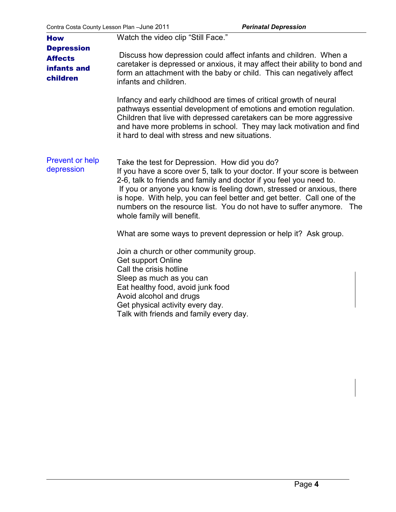| <b>How</b>                                                     | Watch the video clip "Still Face."                                                                                                                                                                                                                                                                                                                                                                                                                          |
|----------------------------------------------------------------|-------------------------------------------------------------------------------------------------------------------------------------------------------------------------------------------------------------------------------------------------------------------------------------------------------------------------------------------------------------------------------------------------------------------------------------------------------------|
| <b>Depression</b><br><b>Affects</b><br>infants and<br>children | Discuss how depression could affect infants and children. When a<br>caretaker is depressed or anxious, it may affect their ability to bond and<br>form an attachment with the baby or child. This can negatively affect<br>infants and children.                                                                                                                                                                                                            |
|                                                                | Infancy and early childhood are times of critical growth of neural<br>pathways essential development of emotions and emotion regulation.<br>Children that live with depressed caretakers can be more aggressive<br>and have more problems in school. They may lack motivation and find<br>it hard to deal with stress and new situations.                                                                                                                   |
| <b>Prevent or help</b><br>depression                           | Take the test for Depression. How did you do?<br>If you have a score over 5, talk to your doctor. If your score is between<br>2-6, talk to friends and family and doctor if you feel you need to.<br>If you or anyone you know is feeling down, stressed or anxious, there<br>is hope. With help, you can feel better and get better. Call one of the<br>numbers on the resource list. You do not have to suffer anymore. The<br>whole family will benefit. |
|                                                                | What are some ways to prevent depression or help it? Ask group.                                                                                                                                                                                                                                                                                                                                                                                             |
|                                                                | Join a church or other community group.<br>Get support Online<br>Call the crisis hotline<br>Sleep as much as you can<br>Eat healthy food, avoid junk food<br>Avoid alcohol and drugs<br>Get physical activity every day.<br>Talk with friends and family every day.                                                                                                                                                                                         |
|                                                                |                                                                                                                                                                                                                                                                                                                                                                                                                                                             |